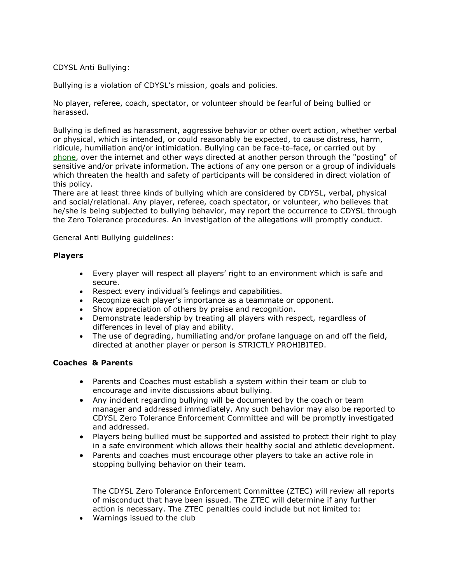## CDYSL Anti Bullying:

Bullying is a violation of CDYSL's mission, goals and policies.

No player, referee, coach, spectator, or volunteer should be fearful of being bullied or harassed.

Bullying is defined as harassment, aggressive behavior or other overt action, whether verbal or physical, which is intended, or could reasonably be expected, to cause distress, harm, ridicule, humiliation and/or intimidation. Bullying can be face-to-face, or carried out by [phone,](http://mail2web.com/cgi-bin/read.asp?mb=&mp=P&mps=0&lid=0&ld=-1&lp=20&mn=9494&ed=1mKbk1r6DwXGOaDhKNhvHtp%2F3MbF82lq3eDq00MEO0gwwRxKj%2BwB2N6v1Y4QBhRFH%2FwCYJ2j9QzG%0D%0AWIYAcuqrkEOCa1%2B%2FT6%2FbUl8qsHJuuXPPzq6m7lVg9H12X3lrx4o%3D) over the internet and other ways directed at another person through the "posting" of sensitive and/or private information. The actions of any one person or a group of individuals which threaten the health and safety of participants will be considered in direct violation of this policy.

There are at least three kinds of bullying which are considered by CDYSL, verbal, physical and social/relational. Any player, referee, coach spectator, or volunteer, who believes that he/she is being subjected to bullying behavior, may report the occurrence to CDYSL through the Zero Tolerance procedures. An investigation of the allegations will promptly conduct.

General Anti Bullying guidelines:

## **Players**

- Every player will respect all players' right to an environment which is safe and secure.
- Respect every individual's feelings and capabilities.
- Recognize each player's importance as a teammate or opponent.
- Show appreciation of others by praise and recognition.
- Demonstrate leadership by treating all players with respect, regardless of differences in level of play and ability.
- The use of degrading, humiliating and/or profane language on and off the field, directed at another player or person is STRICTLY PROHIBITED.

## **Coaches & Parents**

- Parents and Coaches must establish a system within their team or club to encourage and invite discussions about bullying.
- Any incident regarding bullying will be documented by the coach or team manager and addressed immediately. Any such behavior may also be reported to CDYSL Zero Tolerance Enforcement Committee and will be promptly investigated and addressed.
- Players being bullied must be supported and assisted to protect their right to play in a safe environment which allows their healthy social and athletic development.
- Parents and coaches must encourage other players to take an active role in stopping bullying behavior on their team.

The CDYSL Zero Tolerance Enforcement Committee (ZTEC) will review all reports of misconduct that have been issued. The ZTEC will determine if any further action is necessary. The ZTEC penalties could include but not limited to:

Warnings issued to the club